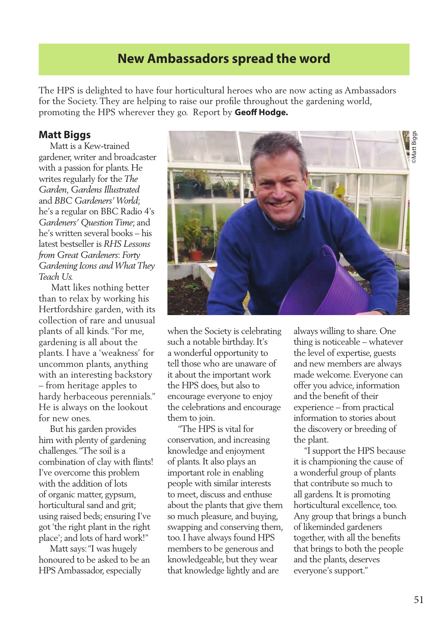# **New Ambassadors spread the word**

The HPS is delighted to have four horticultural heroes who are now acting as Ambassadors for the Society. They are helping to raise our profile throughout the gardening world, promoting the HPS wherever they go. Report by **Geoff Hodge.** 

#### **Matt Biggs**

 Matt is a Kew-trained gardener, writer and broadcaster with a passion for plants. He writes regularly for the *The Garden, Gardens Illustrated* and *BBC Gardeners' World*; he's a regular on BBC Radio 4's *Gardeners' Question Time*; and he's written several books – his latest bestseller is *RHS Lessons from Great Gardeners*: *Forty Gardening Icons and What They Teach Us.* 

 Matt likes nothing better than to relax by working his Hertfordshire garden, with its collection of rare and unusual plants of all kinds. "For me, gardening is all about the plants. I have a 'weakness' for uncommon plants, anything with an interesting backstory – from heritage apples to hardy herbaceous perennials." He is always on the lookout for new ones.

 But his garden provides him with plenty of gardening challenges. "The soil is a combination of clay with flints! I've overcome this problem with the addition of lots of organic matter, gypsum, horticultural sand and grit; using raised beds; ensuring I've got 'the right plant in the right place'; and lots of hard work!"

 Matt says: "I was hugely honoured to be asked to be an HPS Ambassador, especially



when the Society is celebrating such a notable birthday. It's a wonderful opportunity to tell those who are unaware of it about the important work the HPS does, but also to encourage everyone to enjoy the celebrations and encourage them to join.

 "The HPS is vital for conservation, and increasing knowledge and enjoyment of plants. It also plays an important role in enabling people with similar interests to meet, discuss and enthuse about the plants that give them so much pleasure, and buying, swapping and conserving them, too. I have always found HPS members to be generous and knowledgeable, but they wear that knowledge lightly and are

always willing to share. One thing is noticeable – whatever the level of expertise, guests and new members are always made welcome. Everyone can offer you advice, information and the benefit of their experience – from practical information to stories about the discovery or breeding of the plant.

 "I support the HPS because it is championing the cause of a wonderful group of plants that contribute so much to all gardens. It is promoting horticultural excellence, too. Any group that brings a bunch of likeminded gardeners together, with all the benefits that brings to both the people and the plants, deserves everyone's support."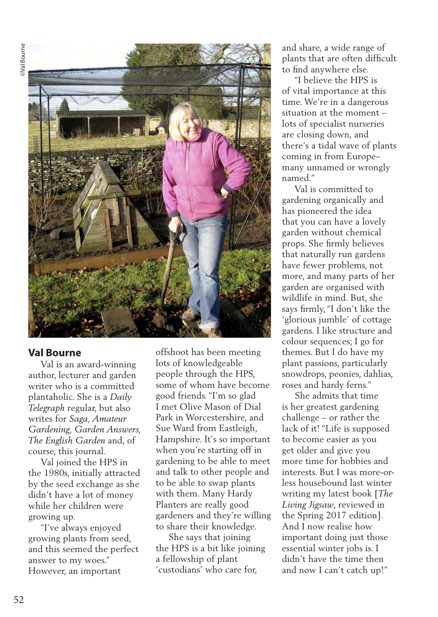

#### **Val Bourne**

 Val is an award-winning author, lecturer and garden writer who is a committed plantaholic. She is a *Daily Telegraph* regular, but also writes for *Saga, Amateur Gardening, Garden Answers, The English Garden* and, of course, this journal.

 Val joined the HPS in the 1980s, initially attracted by the seed exchange as she didn't have a lot of money while her children were growing up.

 "I've always enjoyed growing plants from seed, and this seemed the perfect answer to my woes." However, an important

offshoot has been meeting lots of knowledgeable people through the HPS, some of whom have become good friends. "I'm so glad I met Olive Mason of Dial Park in Worcestershire, and Sue Ward from Eastleigh, Hampshire. It's so important when you're starting off in gardening to be able to meet and talk to other people and to be able to swap plants with them. Many Hardy Planters are really good gardeners and they're willing to share their knowledge.

 She says that joining the HPS is a bit like joining a fellowship of plant 'custodians' who care for,

and share, a wide range of plants that are often difficult to find anywhere else.

 "I believe the HPS is of vital importance at this time. We're in a dangerous situation at the moment – lots of specialist nurseries are closing down, and there's a tidal wave of plants coming in from Europe– many unnamed or wrongly named."

 Val is committed to gardening organically and has pioneered the idea that you can have a lovely garden without chemical props. She firmly believes that naturally run gardens have fewer problems, not more, and many parts of her garden are organised with wildlife in mind. But, she says firmly, "I don't like the 'glorious jumble' of cottage gardens. I like structure and colour sequences; I go for themes. But I do have my plant passions, particularly snowdrops, peonies, dahlias, roses and hardy ferns."

 She admits that time is her greatest gardening challenge – or rather the lack of it! "Life is supposed to become easier as you get older and give you more time for hobbies and interests. But I was more-orless housebound last winter writing my latest book [*The Living Jigsaw*, reviewed in the Spring 2017 edition]. And I now realise how important doing just those essential winter jobs is. I didn't have the time then and now I can't catch up!"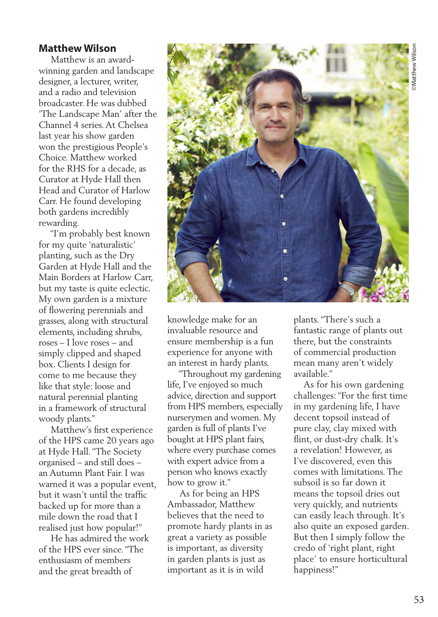### **Matthew Wilson**

 Matthew is an awardwinning garden and landscape designer, a lecturer, writer, and a radio and television broadcaster. He was dubbed 'The Landscape Man' after the Channel 4 series. At Chelsea last year his show garden won the prestigious People's Choice. Matthew worked for the RHS for a decade, as Curator at Hyde Hall then Head and Curator of Harlow Carr. He found developing both gardens incredibly rewarding.

 "I'm probably best known for my quite 'naturalistic' planting, such as the Dry Garden at Hyde Hall and the Main Borders at Harlow Carr, but my taste is quite eclectic. My own garden is a mixture of flowering perennials and grasses, along with structural elements, including shrubs, roses – I love roses – and simply clipped and shaped box. Clients I design for come to me because they like that style: loose and natural perennial planting in a framework of structural woody plants."

 Matthew's first experience of the HPS came 20 years ago at Hyde Hall. "The Society organised – and still does – an Autumn Plant Fair. I was warned it was a popular event, but it wasn't until the traffic backed up for more than a mile down the road that I realised just how popular!"

 He has admired the work of the HPS ever since. "The enthusiasm of members and the great breadth of



knowledge make for an invaluable resource and ensure membership is a fun experience for anyone with an interest in hardy plants.

 "Throughout my gardening life, I've enjoyed so much advice, direction and support from HPS members, especially nurserymen and women. My garden is full of plants I've bought at HPS plant fairs, where every purchase comes with expert advice from a person who knows exactly how to grow it."

 As for being an HPS Ambassador, Matthew believes that the need to promote hardy plants in as great a variety as possible is important, as diversity in garden plants is just as important as it is in wild

plants. "There's such a fantastic range of plants out there, but the constraints of commercial production mean many aren't widely available."

 As for his own gardening challenges: "For the first time in my gardening life, I have decent topsoil instead of pure clay, clay mixed with flint, or dust-dry chalk. It's a revelation! However, as I've discovered, even this comes with limitations. The subsoil is so far down it means the topsoil dries out very quickly, and nutrients can easily leach through. It's also quite an exposed garden. But then I simply follow the credo of 'right plant, right place' to ensure horticultural happiness!"